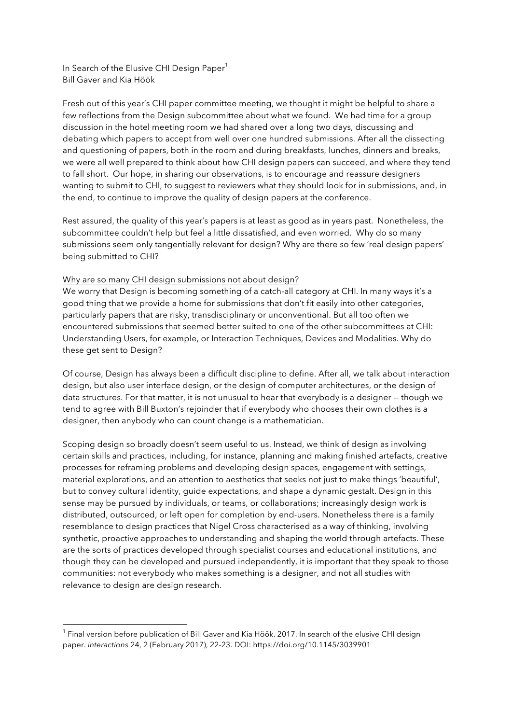In Search of the Elusive CHI Design Paper<sup>1</sup> Bill Gaver and Kia Höök

Fresh out of this year's CHI paper committee meeting, we thought it might be helpful to share a few reflections from the Design subcommittee about what we found. We had time for a group discussion in the hotel meeting room we had shared over a long two days, discussing and debating which papers to accept from well over one hundred submissions. After all the dissecting and questioning of papers, both in the room and during breakfasts, lunches, dinners and breaks, we were all well prepared to think about how CHI design papers can succeed, and where they tend to fall short. Our hope, in sharing our observations, is to encourage and reassure designers wanting to submit to CHI, to suggest to reviewers what they should look for in submissions, and, in the end, to continue to improve the quality of design papers at the conference.

Rest assured, the quality of this year's papers is at least as good as in years past. Nonetheless, the subcommittee couldn't help but feel a little dissatisfied, and even worried. Why do so many submissions seem only tangentially relevant for design? Why are there so few 'real design papers' being submitted to CHI?

## Why are so many CHI design submissions not about design?

We worry that Design is becoming something of a catch-all category at CHI. In many ways it's a good thing that we provide a home for submissions that don't fit easily into other categories, particularly papers that are risky, transdisciplinary or unconventional. But all too often we encountered submissions that seemed better suited to one of the other subcommittees at CHI: Understanding Users, for example, or Interaction Techniques, Devices and Modalities. Why do these get sent to Design?

Of course, Design has always been a difficult discipline to define. After all, we talk about interaction design, but also user interface design, or the design of computer architectures, or the design of data structures. For that matter, it is not unusual to hear that everybody is a designer -- though we tend to agree with Bill Buxton's rejoinder that if everybody who chooses their own clothes is a designer, then anybody who can count change is a mathematician.

Scoping design so broadly doesn't seem useful to us. Instead, we think of design as involving certain skills and practices, including, for instance, planning and making finished artefacts, creative processes for reframing problems and developing design spaces, engagement with settings, material explorations, and an attention to aesthetics that seeks not just to make things 'beautiful', but to convey cultural identity, guide expectations, and shape a dynamic gestalt. Design in this sense may be pursued by individuals, or teams, or collaborations; increasingly design work is distributed, outsourced, or left open for completion by end-users. Nonetheless there is a family resemblance to design practices that Nigel Cross characterised as a way of thinking, involving synthetic, proactive approaches to understanding and shaping the world through artefacts. These are the sorts of practices developed through specialist courses and educational institutions, and though they can be developed and pursued independently, it is important that they speak to those communities: not everybody who makes something is a designer, and not all studies with relevance to design are design research.

 

 $<sup>1</sup>$  Final version before publication of Bill Gaver and Kia Höök. 2017. In search of the elusive CHI design</sup> paper. *interactions* 24, 2 (February 2017), 22-23. DOI: https://doi.org/10.1145/3039901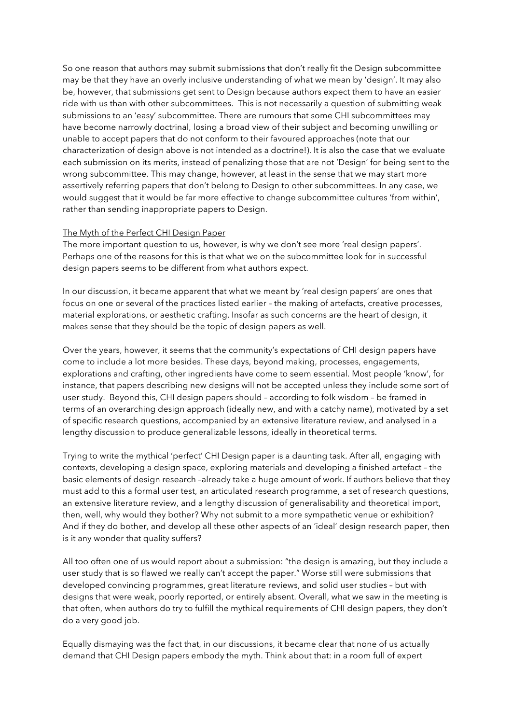So one reason that authors may submit submissions that don't really fit the Design subcommittee may be that they have an overly inclusive understanding of what we mean by 'design'. It may also be, however, that submissions get sent to Design because authors expect them to have an easier ride with us than with other subcommittees. This is not necessarily a question of submitting weak submissions to an 'easy' subcommittee. There are rumours that some CHI subcommittees may have become narrowly doctrinal, losing a broad view of their subject and becoming unwilling or unable to accept papers that do not conform to their favoured approaches (note that our characterization of design above is not intended as a doctrine!). It is also the case that we evaluate each submission on its merits, instead of penalizing those that are not 'Design' for being sent to the wrong subcommittee. This may change, however, at least in the sense that we may start more assertively referring papers that don't belong to Design to other subcommittees. In any case, we would suggest that it would be far more effective to change subcommittee cultures 'from within', rather than sending inappropriate papers to Design.

## The Myth of the Perfect CHI Design Paper

The more important question to us, however, is why we don't see more 'real design papers'. Perhaps one of the reasons for this is that what we on the subcommittee look for in successful design papers seems to be different from what authors expect.

In our discussion, it became apparent that what we meant by 'real design papers' are ones that focus on one or several of the practices listed earlier – the making of artefacts, creative processes, material explorations, or aesthetic crafting. Insofar as such concerns are the heart of design, it makes sense that they should be the topic of design papers as well.

Over the years, however, it seems that the community's expectations of CHI design papers have come to include a lot more besides. These days, beyond making, processes, engagements, explorations and crafting, other ingredients have come to seem essential. Most people 'know', for instance, that papers describing new designs will not be accepted unless they include some sort of user study. Beyond this, CHI design papers should – according to folk wisdom – be framed in terms of an overarching design approach (ideally new, and with a catchy name), motivated by a set of specific research questions, accompanied by an extensive literature review, and analysed in a lengthy discussion to produce generalizable lessons, ideally in theoretical terms.

Trying to write the mythical 'perfect' CHI Design paper is a daunting task. After all, engaging with contexts, developing a design space, exploring materials and developing a finished artefact – the basic elements of design research –already take a huge amount of work. If authors believe that they must add to this a formal user test, an articulated research programme, a set of research questions, an extensive literature review, and a lengthy discussion of generalisability and theoretical import, then, well, why would they bother? Why not submit to a more sympathetic venue or exhibition? And if they do bother, and develop all these other aspects of an 'ideal' design research paper, then is it any wonder that quality suffers?

All too often one of us would report about a submission: "the design is amazing, but they include a user study that is so flawed we really can't accept the paper." Worse still were submissions that developed convincing programmes, great literature reviews, and solid user studies – but with designs that were weak, poorly reported, or entirely absent. Overall, what we saw in the meeting is that often, when authors do try to fulfill the mythical requirements of CHI design papers, they don't do a very good job.

Equally dismaying was the fact that, in our discussions, it became clear that none of us actually demand that CHI Design papers embody the myth. Think about that: in a room full of expert